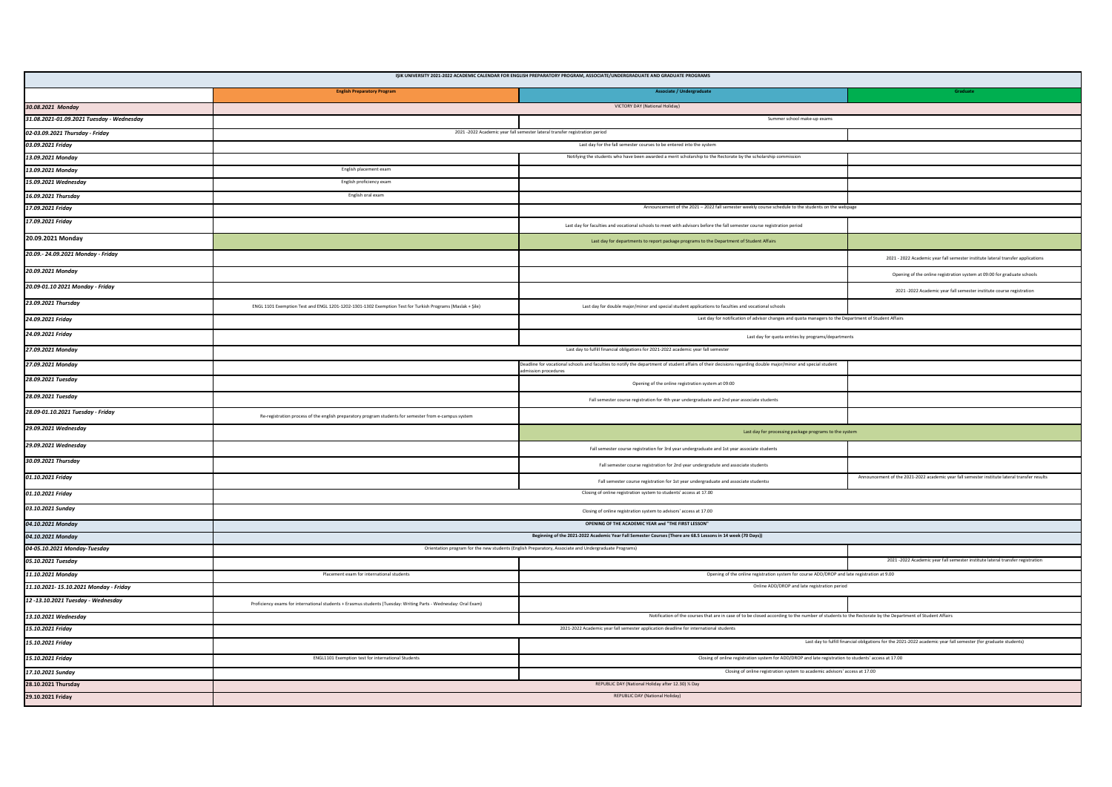| IŞIK UNIVERSITY 2021-2022 ACADEMIC CALENDAR FOR ENGLISH PREPARATORY PROGRAM, ASSOCIATE/UNDERGRADUATE AND GRADUATE PROGRAMS |                                                                                                                 |                                                                                                                                                                                                                                                 |                                                                                                                 |  |  |  |
|----------------------------------------------------------------------------------------------------------------------------|-----------------------------------------------------------------------------------------------------------------|-------------------------------------------------------------------------------------------------------------------------------------------------------------------------------------------------------------------------------------------------|-----------------------------------------------------------------------------------------------------------------|--|--|--|
|                                                                                                                            | <b>English Preparatory Program</b>                                                                              | Associate / Undergraduate                                                                                                                                                                                                                       | Graduate                                                                                                        |  |  |  |
| 30.08.2021 Monday                                                                                                          |                                                                                                                 | VICTORY DAY (National Holiday)                                                                                                                                                                                                                  |                                                                                                                 |  |  |  |
| 31.08.2021-01.09.2021 Tuesday - Wednesday                                                                                  |                                                                                                                 | Summer school make-up exams                                                                                                                                                                                                                     |                                                                                                                 |  |  |  |
| 02-03.09.2021 Thursday - Friday                                                                                            | 2021 -2022 Academic year fall semester lateral transfer registration period                                     |                                                                                                                                                                                                                                                 |                                                                                                                 |  |  |  |
| 03.09.2021 Friday                                                                                                          | Last day for the fall semester courses to be entered into the system                                            |                                                                                                                                                                                                                                                 |                                                                                                                 |  |  |  |
| 13.09.2021 Monday                                                                                                          |                                                                                                                 | Notifying the students who have been awarded a merit scholarship to the Rectorate by the scholarship commission                                                                                                                                 |                                                                                                                 |  |  |  |
| 13.09.2021 Monday                                                                                                          | English placement exam                                                                                          |                                                                                                                                                                                                                                                 |                                                                                                                 |  |  |  |
| 15.09.2021 Wednesday                                                                                                       | English proficiency exam                                                                                        |                                                                                                                                                                                                                                                 |                                                                                                                 |  |  |  |
| 16.09.2021 Thursday                                                                                                        | English oral exam                                                                                               |                                                                                                                                                                                                                                                 |                                                                                                                 |  |  |  |
| 17.09.2021 Friday                                                                                                          | Announcement of the 2021 - 2022 fall semester weekly course schedule to the students on the webpage             |                                                                                                                                                                                                                                                 |                                                                                                                 |  |  |  |
| 17.09.2021 Friday                                                                                                          |                                                                                                                 | Last day for faculties and vocational schools to meet with advisors before the fall semester course registration period                                                                                                                         |                                                                                                                 |  |  |  |
| 20.09.2021 Monday                                                                                                          |                                                                                                                 | Last day for departments to report package programs to the Department of Student Affairs                                                                                                                                                        |                                                                                                                 |  |  |  |
| 20.09.- 24.09.2021 Monday - Friday                                                                                         |                                                                                                                 |                                                                                                                                                                                                                                                 | 2021 - 2022 Academic year fall semester institute lateral transfer applications                                 |  |  |  |
| 20.09.2021 Monday                                                                                                          |                                                                                                                 |                                                                                                                                                                                                                                                 | Opening of the online registration system at 09:00 for graduate schools                                         |  |  |  |
| 20.09-01.10 2021 Monday - Friday                                                                                           |                                                                                                                 |                                                                                                                                                                                                                                                 | 2021-2022 Academic year fall semester institute course registration                                             |  |  |  |
| 23.09.2021 Thursday                                                                                                        | ENGL 1101 Exemption Test and ENGL 1201-1202-1301-1302 Exemption Test for Turkish Programs (Maslak + Şile)       | Last day for double major/minor and special student applications to faculties and vocational schools                                                                                                                                            |                                                                                                                 |  |  |  |
| 24.09.2021 Friday                                                                                                          |                                                                                                                 | Last day for notification of advisor changes and quota managers to the Department of Student Affairs                                                                                                                                            |                                                                                                                 |  |  |  |
| 24.09.2021 Friday                                                                                                          | Last day for quota entries by programs/departments                                                              |                                                                                                                                                                                                                                                 |                                                                                                                 |  |  |  |
| 27.09.2021 Monday                                                                                                          | Last day to fulfill financial obligations for 2021-2022 academic year fall semester                             |                                                                                                                                                                                                                                                 |                                                                                                                 |  |  |  |
| 27.09.2021 Monday                                                                                                          |                                                                                                                 | adline for vocational schools and faculties to notify the department of student affairs of their decisions regarding double major/minor and special student<br>ssion procedures                                                                 |                                                                                                                 |  |  |  |
| 28.09.2021 Tuesday                                                                                                         |                                                                                                                 | Opening of the online registration system at 09:00                                                                                                                                                                                              |                                                                                                                 |  |  |  |
| 28.09.2021 Tuesday                                                                                                         |                                                                                                                 | Fall semester course registration for 4th year undergraduate and 2nd year associate students                                                                                                                                                    |                                                                                                                 |  |  |  |
| 28.09-01.10.2021 Tuesday - Friday                                                                                          | Re-registration process of the english preparatory program students for semester from e-campus system           |                                                                                                                                                                                                                                                 |                                                                                                                 |  |  |  |
| 29.09.2021 Wednesday                                                                                                       | Last day for processing package programs to the system                                                          |                                                                                                                                                                                                                                                 |                                                                                                                 |  |  |  |
| 29.09.2021 Wednesday                                                                                                       |                                                                                                                 | Fall semester course registration for 3rd year undergraduate and 1st year associate students                                                                                                                                                    |                                                                                                                 |  |  |  |
| 30.09.2021 Thursday                                                                                                        |                                                                                                                 | Fall semester course registration for 2nd year undergradute and associate students                                                                                                                                                              |                                                                                                                 |  |  |  |
| 01.10.2021 Friday                                                                                                          |                                                                                                                 | Fall semester course registration for 1st year undergraduate and associate students                                                                                                                                                             | Announcement of the 2021-2022 academic year fall semester institute lateral transfer results                    |  |  |  |
| 01.10.2021 Friday                                                                                                          |                                                                                                                 | Closing of online registration system to students' access at 17.00                                                                                                                                                                              |                                                                                                                 |  |  |  |
| 03.10.2021 Sunday                                                                                                          | Closing of online registration system to advisors' access at 17.00                                              |                                                                                                                                                                                                                                                 |                                                                                                                 |  |  |  |
| 04.10.2021 Monday                                                                                                          | OPENING OF THE ACADEMIC YEAR and "THE FIRST LESSON"                                                             |                                                                                                                                                                                                                                                 |                                                                                                                 |  |  |  |
| 04.10.2021 Monday                                                                                                          | Beginning of the 2021-2022 Academic Year Fall Semester Courses (There are 68.5 Lessons in 14 week (70 Days))    |                                                                                                                                                                                                                                                 |                                                                                                                 |  |  |  |
| 04-05.10.2021 Monday-Tuesday                                                                                               |                                                                                                                 | Orientation program for the new students (English Preparatory, Associate and Undergraduate Programs)                                                                                                                                            |                                                                                                                 |  |  |  |
| 05.10.2021 Tuesday                                                                                                         |                                                                                                                 |                                                                                                                                                                                                                                                 | 2021 -2022 Academic year fall semester institute lateral transfer registration                                  |  |  |  |
| 11.10.2021 Monday                                                                                                          | Placement exam for international students                                                                       | Opening of the online registration system for course ADD/DROP and late registration at 9.00<br>Online ADD/DROP and late registration period                                                                                                     |                                                                                                                 |  |  |  |
| 11.10.2021-15.10.2021 Monday - Friday                                                                                      |                                                                                                                 |                                                                                                                                                                                                                                                 |                                                                                                                 |  |  |  |
| 12-13.10.2021 Tuesday - Wednesday                                                                                          | Proficiency exams for international students + Erasmus students (Tuesday: Writing Parts - Wednesday: Oral Exam) |                                                                                                                                                                                                                                                 |                                                                                                                 |  |  |  |
| 13.10.2021 Wednesday                                                                                                       |                                                                                                                 | Notification of the courses that are in case of to be closed according to the number of students to the Rectorate by the Department of Student Affairs<br>2021-2022 Academic year fall semester application deadline for international students |                                                                                                                 |  |  |  |
| 15.10.2021 Friday                                                                                                          |                                                                                                                 |                                                                                                                                                                                                                                                 | Last day to fulfill financial obligations for the 2021-2022 academic year fall semester (for graduate students) |  |  |  |
| 15.10.2021 Friday                                                                                                          |                                                                                                                 |                                                                                                                                                                                                                                                 |                                                                                                                 |  |  |  |
| 15.10.2021 Friday                                                                                                          | ENGL1101 Exemption test for international Students                                                              | Closing of online registration system for ADD/DROP and late registration to students' access at 17.00                                                                                                                                           |                                                                                                                 |  |  |  |
| 17.10.2021 Sunday                                                                                                          | Closing of online registration system to academic advisors' access at 17.00                                     |                                                                                                                                                                                                                                                 |                                                                                                                 |  |  |  |
| 28.10.2021 Thursday                                                                                                        | REPUBLIC DAY (National Holiday after 12.30) % Day                                                               |                                                                                                                                                                                                                                                 |                                                                                                                 |  |  |  |
| 29.10.2021 Friday                                                                                                          | REPUBLIC DAY (National Holiday)                                                                                 |                                                                                                                                                                                                                                                 |                                                                                                                 |  |  |  |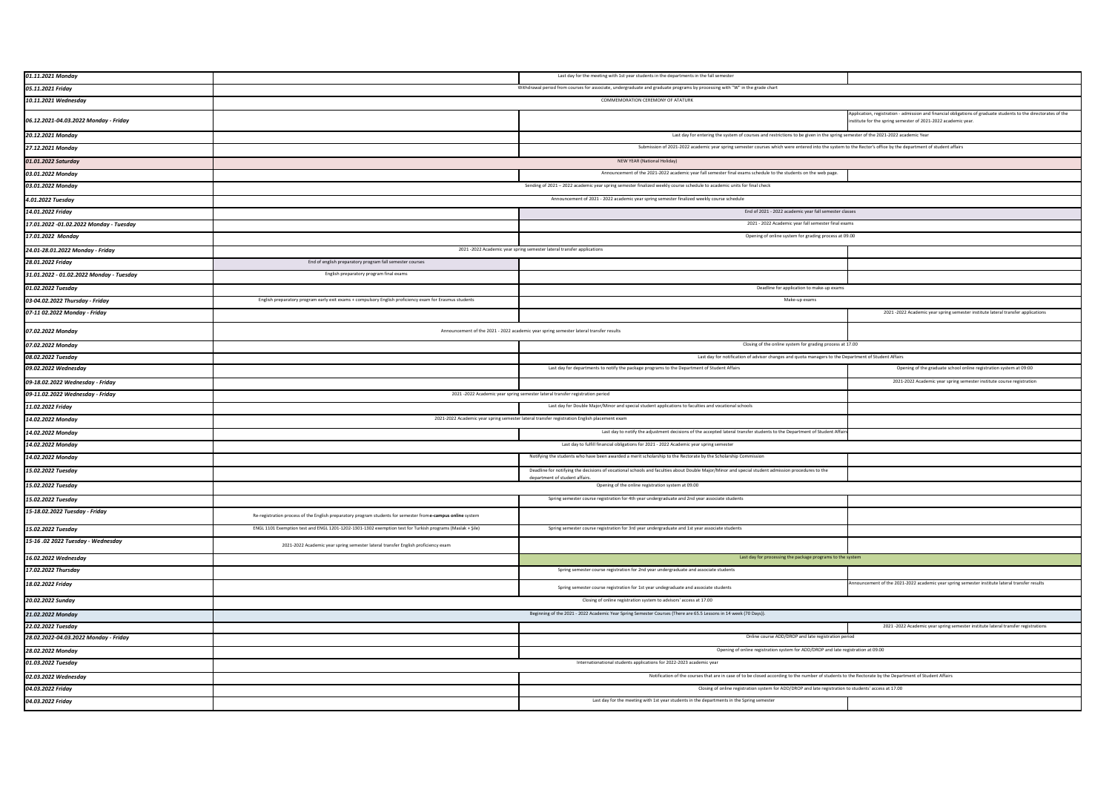| 01.11.2021 Monday                        |                                                                                                                             | Last day for the meeting with 1st year students in the departments in the fall semeste                                                                                             |                                                                                                                                                                                |
|------------------------------------------|-----------------------------------------------------------------------------------------------------------------------------|------------------------------------------------------------------------------------------------------------------------------------------------------------------------------------|--------------------------------------------------------------------------------------------------------------------------------------------------------------------------------|
| 05.11.2021 Friday                        | Withdrawal period from courses for associate, undergraduate and graduate programs by processing with "W" in the grade chart |                                                                                                                                                                                    |                                                                                                                                                                                |
| 10.11.2021 Wednesday                     | COMMEMORATION CEREMONY OF ATATURK                                                                                           |                                                                                                                                                                                    |                                                                                                                                                                                |
| 06.12.2021-04.03.2022 Monday - Friday    |                                                                                                                             |                                                                                                                                                                                    | Application, registration - admission and financial obligations of graduate students to the directorates of the<br>stitute for the spring semester of 2021-2022 academic year. |
| 20.12.2021 Monday                        |                                                                                                                             | Last day for entering the system of courses and restrictions to be given in the spring semester of the 2021-2022 academic Year                                                     |                                                                                                                                                                                |
| 27.12.2021 Monday                        |                                                                                                                             | Submission of 2021-2022 academic year spring semester courses which were entered into the system to the Rector's office by the department of student affairs                       |                                                                                                                                                                                |
| 01.01.2022 Saturday                      | NEW YEAR (National Holiday)                                                                                                 |                                                                                                                                                                                    |                                                                                                                                                                                |
| 03.01.2022 Monday                        |                                                                                                                             | Announcement of the 2021-2022 academic year fall semester final exams schedule to the students on the web page.                                                                    |                                                                                                                                                                                |
| 03.01.2022 Monday                        | Sending of 2021 - 2022 academic year spring semester finalized weekly course schedule to academic units for final check     |                                                                                                                                                                                    |                                                                                                                                                                                |
| 4.01.2022 Tuesday                        | Announcement of 2021 - 2022 academic year spring semester finalized weekly course schedule                                  |                                                                                                                                                                                    |                                                                                                                                                                                |
| 14.01.2022 Friday                        |                                                                                                                             | End of 2021 - 2022 academic year fall semester classes                                                                                                                             |                                                                                                                                                                                |
| 17.01.2022 -01.02.2022 Monday - Tuesday  |                                                                                                                             | 2021 - 2022 Academic year fall semester final exams                                                                                                                                |                                                                                                                                                                                |
| 17.01.2022 Monday                        |                                                                                                                             | Opening of online system for grading process at 09.00                                                                                                                              |                                                                                                                                                                                |
| 24.01-28.01.2022 Monday - Friday         |                                                                                                                             | 2021-2022 Academic year spring semester lateral transfer applications                                                                                                              |                                                                                                                                                                                |
| 28.01.2022 Friday                        | End of english preparatory program fall semester courses                                                                    |                                                                                                                                                                                    |                                                                                                                                                                                |
| 31.01.2022 - 01.02.2022 Monday - Tuesday | English preparatory program final exams                                                                                     |                                                                                                                                                                                    |                                                                                                                                                                                |
| 01.02.2022 Tuesday                       |                                                                                                                             | Deadline for application to make-up exams                                                                                                                                          |                                                                                                                                                                                |
| 03-04.02.2022 Thursday - Friday          | English preparatory program early exit exams + compulsory English proficiency exam for Erasmus students                     | Make-up exams                                                                                                                                                                      |                                                                                                                                                                                |
| 07-11 02.2022 Monday - Friday            |                                                                                                                             |                                                                                                                                                                                    | 2021 -2022 Academic year spring semester institute lateral transfer applications                                                                                               |
| 07.02.2022 Monday                        |                                                                                                                             | Announcement of the 2021 - 2022 academic year spring semester lateral transfer results                                                                                             |                                                                                                                                                                                |
| 07.02.2022 Monday                        |                                                                                                                             | Closing of the online system for grading process at 17.00                                                                                                                          |                                                                                                                                                                                |
| 08.02.2022 Tuesday                       |                                                                                                                             | Last day for notification of advisor changes and quota managers to the Department of Student Affairs                                                                               |                                                                                                                                                                                |
| 09.02.2022 Wednesday                     |                                                                                                                             | Last day for departments to notify the package programs to the Department of Student Affairs                                                                                       | Opening of the graduate school online registration system at 09:00                                                                                                             |
| 09-18.02.2022 Wednesday - Friday         |                                                                                                                             |                                                                                                                                                                                    | 2021-2022 Academic year spring semester institute course registration                                                                                                          |
| 09-11.02.2022 Wednesday - Friday         |                                                                                                                             | 2021 - 2022 Academic year spring semester lateral transfer registration period                                                                                                     |                                                                                                                                                                                |
|                                          |                                                                                                                             |                                                                                                                                                                                    |                                                                                                                                                                                |
| 11.02.2022 Friday                        |                                                                                                                             | Last day for Double Major/Minor and special student applications to faculties and vocational schools                                                                               |                                                                                                                                                                                |
| 14.02.2022 Monday                        |                                                                                                                             | 2021-2022 Academic year spring semester lateral transfer registration English placement exam                                                                                       |                                                                                                                                                                                |
| 14.02.2022 Monday                        |                                                                                                                             | Last day to notify the adjustment decisions of the accepted lateral transfer students to the Department of Student Affair                                                          |                                                                                                                                                                                |
| 14.02.2022 Monday                        |                                                                                                                             | Last day to fulfill financial obligations for 2021 - 2022 Academic year spring semeste                                                                                             |                                                                                                                                                                                |
| 14.02.2022 Monday                        |                                                                                                                             | Notifying the students who have been awarded a merit scholarship to the Rectorate by the Scholarship Commission                                                                    |                                                                                                                                                                                |
| 15.02.2022 Tuesday                       |                                                                                                                             | Deadline for notifying the decisions of vocational schools and faculties about Double Major/Minor and special student admission procedures to the<br>department of student affairs |                                                                                                                                                                                |
| 15.02.2022 Tuesday                       |                                                                                                                             | Opening of the online registration system at 09.00                                                                                                                                 |                                                                                                                                                                                |
| 15.02.2022 Tuesday                       |                                                                                                                             | Spring semester course registration for 4th year undergraduate and 2nd year associate students                                                                                     |                                                                                                                                                                                |
| 15-18.02.2022 Tuesday - Friday           | Re-registration process of the English preparatory program students for semester from e-campus online system                |                                                                                                                                                                                    |                                                                                                                                                                                |
| 15.02.2022 Tuesday                       | ENGL 1101 Exemption test and ENGL 1201-1202-1301-1302 exemption test for Turkish programs (Maslak + Şile)                   | Spring semester course registration for 3rd year undergraduate and 1st year associate students                                                                                     |                                                                                                                                                                                |
| 15-16 .02 2022 Tuesday - Wednesday       | 2021-2022 Academic year spring semester lateral transfer English proficiency exam                                           |                                                                                                                                                                                    |                                                                                                                                                                                |
| 16.02.2022 Wednesday                     |                                                                                                                             | Last day for processing the package programs to the system                                                                                                                         |                                                                                                                                                                                |
| 17.02.2022 Thursday                      |                                                                                                                             | Spring semester course registration for 2nd year undergraduate and associate students                                                                                              |                                                                                                                                                                                |
| 18.02.2022 Friday                        |                                                                                                                             | Spring semester course registration for 1st year undegraduate and associate students                                                                                               | nnouncement of the 2021-2022 academic year spring semester institute lateral transfer results                                                                                  |
| 20.02.2022 Sunday                        |                                                                                                                             | Closing of online registration system to advisors' access at 17.00                                                                                                                 |                                                                                                                                                                                |
| 21.02.2022 Monday                        |                                                                                                                             | Beginning of the 2021 - 2022 Academic Year Spring Semester Courses (There are 65.5 Lessons in 14 week (70 Days)).                                                                  |                                                                                                                                                                                |
| 22.02.2022 Tuesday                       |                                                                                                                             |                                                                                                                                                                                    | 2021 -2022 Academic year spring semester institute lateral transfer registrations                                                                                              |
| 28.02.2022-04.03.2022 Monday - Friday    |                                                                                                                             | Online course ADD/DROP and late registration perio                                                                                                                                 |                                                                                                                                                                                |
| 28.02.2022 Monday                        |                                                                                                                             | Opening of online registration system for ADD/DROP and late registration at 09.00                                                                                                  |                                                                                                                                                                                |
| 01.03.2022 Tuesday                       |                                                                                                                             | Internationational students applications for 2022-2023 academic year                                                                                                               |                                                                                                                                                                                |
| 02.03.2022 Wednesday                     |                                                                                                                             | Notification of the courses that are in case of to be closed according to the number of students to the Rectorate by the Department of Student Affairs                             |                                                                                                                                                                                |
| 04.03.2022 Friday                        |                                                                                                                             | Closing of online registration system for ADD/DROP and late registration to students' access at 17.00                                                                              |                                                                                                                                                                                |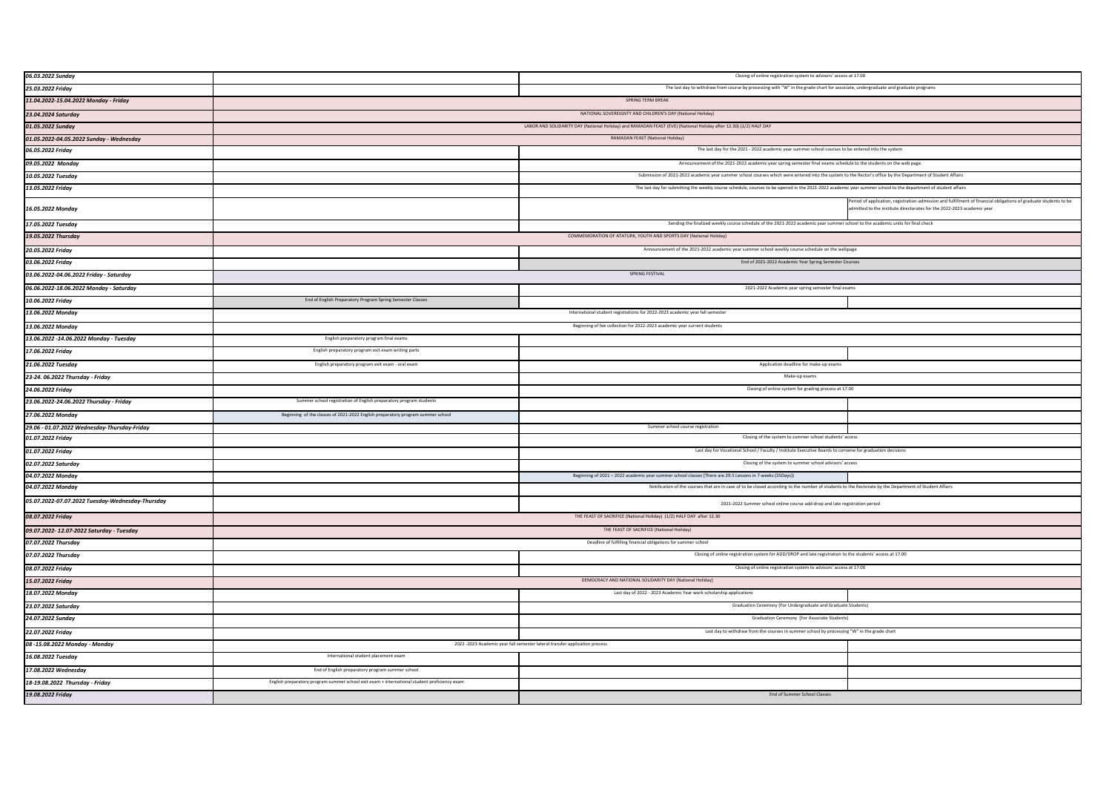| 06.03.2022 Sunday                                | Closing of online registration system to advisors' access at 17.00                                                                                             |                                                                                                                                 |                                                                                                                                                                                          |
|--------------------------------------------------|----------------------------------------------------------------------------------------------------------------------------------------------------------------|---------------------------------------------------------------------------------------------------------------------------------|------------------------------------------------------------------------------------------------------------------------------------------------------------------------------------------|
| 25.03.2022 Friday                                | The last day to withdraw from course by processing with "W" in the grade chart for associate, undergraduate and graduate programs                              |                                                                                                                                 |                                                                                                                                                                                          |
| 11.04.2022-15.04.2022 Monday - Friday            | SPRING TERM BREAK                                                                                                                                              |                                                                                                                                 |                                                                                                                                                                                          |
| 23.04.2024 Saturday                              | NATIONAL SOVEREIGNTY AND CHILDREN'S DAY (National Holiday)                                                                                                     |                                                                                                                                 |                                                                                                                                                                                          |
| 01.05.2022 Sunday                                | LABOR AND SOLIDARITY DAY (National Holiday) and RAMADAN FEAST (EVE) (National Holiday after 12.30) (1/2) HALF DAY                                              |                                                                                                                                 |                                                                                                                                                                                          |
| 01.05.2022-04.05.2022 Sunday - Wednesday         | RAMADAN FEAST (National Holiday)                                                                                                                               |                                                                                                                                 |                                                                                                                                                                                          |
| 06.05.2022 Friday                                | The last day for the 2021 - 2022 academic year summer school courses to be entered into the system                                                             |                                                                                                                                 |                                                                                                                                                                                          |
| 09.05.2022 Monday                                | Announcement of the 2021-2022 academic year spring semester final exams schedule to the students on the web page.                                              |                                                                                                                                 |                                                                                                                                                                                          |
| 10.05.2022 Tuesday                               | Submission of 2021-2022 academic year summer school courses which were entered into the system to the Rector's office by the Department of Student Affairs     |                                                                                                                                 |                                                                                                                                                                                          |
| 13.05.2022 Friday                                | The last day for submitting the weekly course schedule, courses to be opened in the 2021-2022 academic year summer school to the department of student affairs |                                                                                                                                 |                                                                                                                                                                                          |
| 16.05.2022 Monday                                |                                                                                                                                                                |                                                                                                                                 | eriod of application, registration-admission and fulfillment of financial obligations of graduate students to be<br>mitted to the institute directorates for the 2022-2023 academic year |
| 17.05.2022 Tuesday                               |                                                                                                                                                                | Sending the finalized weekly course schedule of the 2021-2022 academic year summer school to the academic units for final check |                                                                                                                                                                                          |
| 19.05.2022 Thursday                              | COMMEMORATION OF ATATURK, YOUTH AND SPORTS DAY (National Holiday)                                                                                              |                                                                                                                                 |                                                                                                                                                                                          |
| 20.05.2022 Friday                                | Announcement of the 2021-2022 academic year summer school weekly course schedule on the webpage                                                                |                                                                                                                                 |                                                                                                                                                                                          |
| 03.06.2022 Friday                                |                                                                                                                                                                | End of 2021-2022 Academic Year Spring Semester Courses                                                                          |                                                                                                                                                                                          |
| 03.06.2022-04.06.2022 Friday - Saturday          |                                                                                                                                                                | SPRING FESTIVAL                                                                                                                 |                                                                                                                                                                                          |
| 06.06.2022-18.06.2022 Monday - Saturday          |                                                                                                                                                                | 2021-2022 Academic year spring semester final exams                                                                             |                                                                                                                                                                                          |
| 10.06.2022 Friday                                | End of English Preparatory Program Spring Semester Classes                                                                                                     |                                                                                                                                 |                                                                                                                                                                                          |
| 13.06.2022 Monday                                |                                                                                                                                                                | International student registrations for 2022-2023 academic year fall semeste                                                    |                                                                                                                                                                                          |
| 13.06.2022 Monday                                | Beginning of fee collection for 2022-2023 academic year current students                                                                                       |                                                                                                                                 |                                                                                                                                                                                          |
| 13.06.2022 -14.06.2022 Monday - Tuesday          | English preparatory program final exams                                                                                                                        |                                                                                                                                 |                                                                                                                                                                                          |
| 17.06.2022 Friday                                | English preparatory program exit exam writing parts                                                                                                            |                                                                                                                                 |                                                                                                                                                                                          |
| 21.06.2022 Tuesday                               | English preparatory program exit exam - oral exam                                                                                                              | Application deadline for make-up exams                                                                                          |                                                                                                                                                                                          |
| 23-24. 06.2022 Thursday - Friday                 | Make-up exams                                                                                                                                                  |                                                                                                                                 |                                                                                                                                                                                          |
| 24.06.2022 Friday                                | Closing of online system for grading process at 17.00                                                                                                          |                                                                                                                                 |                                                                                                                                                                                          |
| 23.06.2022-24.06.2022 Thursday - Friday          | Summer school registration of English preparatory program students                                                                                             |                                                                                                                                 |                                                                                                                                                                                          |
| 27.06.2022 Monday                                | Beginning of the classes of 2021-2022 English preparatory program summer school                                                                                |                                                                                                                                 |                                                                                                                                                                                          |
| 29.06 - 01.07.2022 Wednesday-Thursday-Friday     |                                                                                                                                                                | Summer school course registration                                                                                               |                                                                                                                                                                                          |
| 01.07.2022 Friday                                |                                                                                                                                                                | Closing of the system to summer school students' access                                                                         |                                                                                                                                                                                          |
| 01.07.2022 Friday                                | Last day for Vocational School / Faculty / Institute Executive Boards to convene for graduation decisions                                                      |                                                                                                                                 |                                                                                                                                                                                          |
| 02.07.2022 Saturday                              | Closing of the system to summer school advisors' access                                                                                                        |                                                                                                                                 |                                                                                                                                                                                          |
| 04.07.2022 Monday                                |                                                                                                                                                                | Beginning of 2021 - 2022 academic year summer school classes (There are 29.5 Lessons in 7 weeks (35Days))                       |                                                                                                                                                                                          |
| 04.07.2022 Monday                                | Notification of the courses that are in case of to be closed according to the number of students to the Rectorate by the Department of Student Affairs         |                                                                                                                                 |                                                                                                                                                                                          |
| 05.07.2022-07.07.2022 Tuesday-Wednesday-Thursday | 2021-2022 Summer school online course add-drop and late registration period                                                                                    |                                                                                                                                 |                                                                                                                                                                                          |
| 08.07.2022 Friday                                | THE FEAST OF SACRIFICE (National Holiday) (1/2) HALF DAY after 12.30                                                                                           |                                                                                                                                 |                                                                                                                                                                                          |
| 09.07.2022- 12.07-2022 Saturday - Tuesday        | THE FEAST OF SACRIFICE (National Holiday)                                                                                                                      |                                                                                                                                 |                                                                                                                                                                                          |
| 07.07.2022 Thursday                              | Deadline of fulfilling financial obligations for summer school                                                                                                 |                                                                                                                                 |                                                                                                                                                                                          |
| 07.07.2022 Thursday                              | Closing of online registration system for ADD/DROP and late registration to the students' access at 17.00                                                      |                                                                                                                                 |                                                                                                                                                                                          |
| 08.07.2022 Friday                                | Closing of online registration system to advisors' access at 17.00                                                                                             |                                                                                                                                 |                                                                                                                                                                                          |
| 15.07.2022 Friday                                |                                                                                                                                                                | DEMOCRACY AND NATIONAL SOLIDARITY DAY (National Holiday)                                                                        |                                                                                                                                                                                          |
| 18.07.2022 Monday                                |                                                                                                                                                                | Last day of 2022 - 2023 Academic Year work scholarship applications                                                             |                                                                                                                                                                                          |
| 23.07.2022 Saturday                              |                                                                                                                                                                | Graduation Ceremony (For Undergraduate and Graduate Students)                                                                   |                                                                                                                                                                                          |
| 24.07.2022 Sunday                                |                                                                                                                                                                | Graduation Ceremony (For Associate Students)                                                                                    |                                                                                                                                                                                          |
| 22.07.2022 Friday                                |                                                                                                                                                                | Last day to withdraw from the courses in summer school by processing "W" in the grade chart                                     |                                                                                                                                                                                          |
| 08 -15.08.2022 Monday - Monday                   |                                                                                                                                                                | 2022 -2023 Academic year fall semester lateral transfer application process                                                     |                                                                                                                                                                                          |
| 16.08.2022 Tuesday                               | International student placement exam                                                                                                                           |                                                                                                                                 |                                                                                                                                                                                          |
| 17.08.2022 Wednesday                             | End of English preparatory program summer school                                                                                                               |                                                                                                                                 |                                                                                                                                                                                          |
| 18-19.08.2022 Thursday - Friday                  | English preparatory program summer school exit exam + international student proficiency exam                                                                   |                                                                                                                                 |                                                                                                                                                                                          |
| 19.08.2022 Friday                                |                                                                                                                                                                | End of Summer School Classes                                                                                                    |                                                                                                                                                                                          |